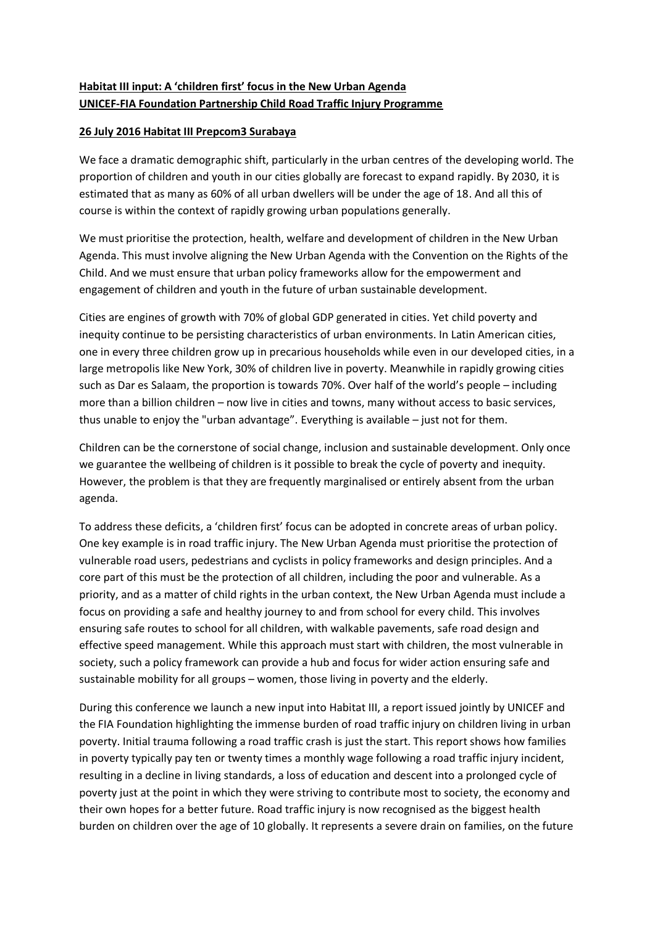## **Habitat III input: A 'children first' focus in the New Urban Agenda UNICEF-FIA Foundation Partnership Child Road Traffic Injury Programme**

## **26 July 2016 Habitat III Prepcom3 Surabaya**

We face a dramatic demographic shift, particularly in the urban centres of the developing world. The proportion of children and youth in our cities globally are forecast to expand rapidly. By 2030, it is estimated that as many as 60% of all urban dwellers will be under the age of 18. And all this of course is within the context of rapidly growing urban populations generally.

We must prioritise the protection, health, welfare and development of children in the New Urban Agenda. This must involve aligning the New Urban Agenda with the Convention on the Rights of the Child. And we must ensure that urban policy frameworks allow for the empowerment and engagement of children and youth in the future of urban sustainable development.

Cities are engines of growth with 70% of global GDP generated in cities. Yet child poverty and inequity continue to be persisting characteristics of urban environments. In Latin American cities, one in every three children grow up in precarious households while even in our developed cities, in a large metropolis like New York, 30% of children live in poverty. Meanwhile in rapidly growing cities such as Dar es Salaam, the proportion is towards 70%. Over half of the world's people – including more than a billion children – now live in cities and towns, many without access to basic services, thus unable to enjoy the "urban advantage". Everything is available – just not for them.

Children can be the cornerstone of social change, inclusion and sustainable development. Only once we guarantee the wellbeing of children is it possible to break the cycle of poverty and inequity. However, the problem is that they are frequently marginalised or entirely absent from the urban agenda.

To address these deficits, a 'children first' focus can be adopted in concrete areas of urban policy. One key example is in road traffic injury. The New Urban Agenda must prioritise the protection of vulnerable road users, pedestrians and cyclists in policy frameworks and design principles. And a core part of this must be the protection of all children, including the poor and vulnerable. As a priority, and as a matter of child rights in the urban context, the New Urban Agenda must include a focus on providing a safe and healthy journey to and from school for every child. This involves ensuring safe routes to school for all children, with walkable pavements, safe road design and effective speed management. While this approach must start with children, the most vulnerable in society, such a policy framework can provide a hub and focus for wider action ensuring safe and sustainable mobility for all groups – women, those living in poverty and the elderly.

During this conference we launch a new input into Habitat III, a report issued jointly by UNICEF and the FIA Foundation highlighting the immense burden of road traffic injury on children living in urban poverty. Initial trauma following a road traffic crash is just the start. This report shows how families in poverty typically pay ten or twenty times a monthly wage following a road traffic injury incident, resulting in a decline in living standards, a loss of education and descent into a prolonged cycle of poverty just at the point in which they were striving to contribute most to society, the economy and their own hopes for a better future. Road traffic injury is now recognised as the biggest health burden on children over the age of 10 globally. It represents a severe drain on families, on the future